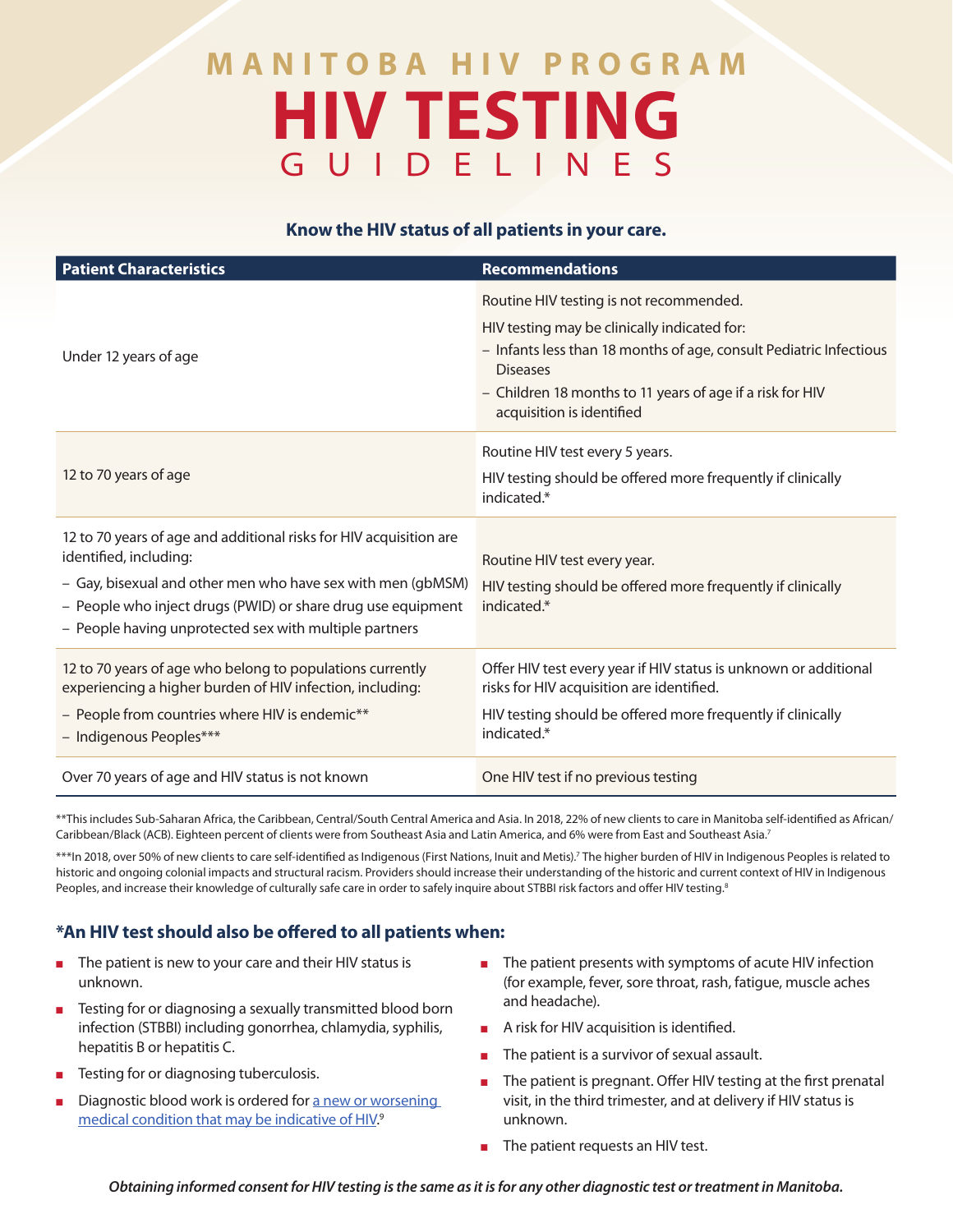# **MANITOBA HIV PROGRAM HIV TESTING**  GUIDELINES

## **Know the HIV status of all patients in your care.**

| <b>Patient Characteristics</b>                                                                                                                                                                                                                                                        | <b>Recommendations</b>                                                                                                                                                                                                                                                     |
|---------------------------------------------------------------------------------------------------------------------------------------------------------------------------------------------------------------------------------------------------------------------------------------|----------------------------------------------------------------------------------------------------------------------------------------------------------------------------------------------------------------------------------------------------------------------------|
| Under 12 years of age                                                                                                                                                                                                                                                                 | Routine HIV testing is not recommended.<br>HIV testing may be clinically indicated for:<br>- Infants less than 18 months of age, consult Pediatric Infectious<br><b>Diseases</b><br>- Children 18 months to 11 years of age if a risk for HIV<br>acquisition is identified |
| 12 to 70 years of age                                                                                                                                                                                                                                                                 | Routine HIV test every 5 years.<br>HIV testing should be offered more frequently if clinically<br>indicated.*                                                                                                                                                              |
| 12 to 70 years of age and additional risks for HIV acquisition are<br>identified, including:<br>- Gay, bisexual and other men who have sex with men (gbMSM)<br>- People who inject drugs (PWID) or share drug use equipment<br>- People having unprotected sex with multiple partners | Routine HIV test every year.<br>HIV testing should be offered more frequently if clinically<br>indicated.*                                                                                                                                                                 |
| 12 to 70 years of age who belong to populations currently<br>experiencing a higher burden of HIV infection, including:<br>- People from countries where HIV is endemic**<br>- Indigenous Peoples***                                                                                   | Offer HIV test every year if HIV status is unknown or additional<br>risks for HIV acquisition are identified.<br>HIV testing should be offered more frequently if clinically<br>indicated.*                                                                                |
| Over 70 years of age and HIV status is not known                                                                                                                                                                                                                                      | One HIV test if no previous testing                                                                                                                                                                                                                                        |

\*\*This includes Sub-Saharan Africa, the Caribbean, Central/South Central America and Asia. In 2018, 22% of new clients to care in Manitoba self-identified as African/ Caribbean/Black (ACB). Eighteen percent of clients were from Southeast Asia and Latin America, and 6% were from East and Southeast Asia.7

\*\*\*In 2018, over 50% of new clients to care self-identified as Indigenous (First Nations, Inuit and Metis).7 The higher burden of HIV in Indigenous Peoples is related to historic and ongoing colonial impacts and structural racism. Providers should increase their understanding of the historic and current context of HIV in Indigenous Peoples, and increase their knowledge of culturally safe care in order to safely inquire about STBBI risk factors and offer HIV testing.<sup>8</sup>

# **\*An HIV test should also be offered to all patients when:**

- The patient is new to your care and their HIV status is unknown.
- Testing for or diagnosing a sexually transmitted blood born infection (STBBI) including gonorrhea, chlamydia, syphilis, hepatitis B or hepatitis C.
- Testing for or diagnosing tuberculosis.
- Diagnostic blood work is ordered for a new or worsening [medical condition that may be indicative of HIV](https://webgate.ec.europa.eu/chafea_pdb/assets/files/pdb/20114202/20114202_d7_en_ps.pdf).<sup>9</sup>
- The patient presents with symptoms of acute HIV infection (for example, fever, sore throat, rash, fatigue, muscle aches and headache).
- A risk for HIV acquisition is identified.
- The patient is a survivor of sexual assault.
- The patient is pregnant. Offer HIV testing at the first prenatal visit, in the third trimester, and at delivery if HIV status is unknown.
- The patient requests an HIV test.

*Obtaining informed consent for HIV testing is the same as it is for any other diagnostic test or treatment in Manitoba.*